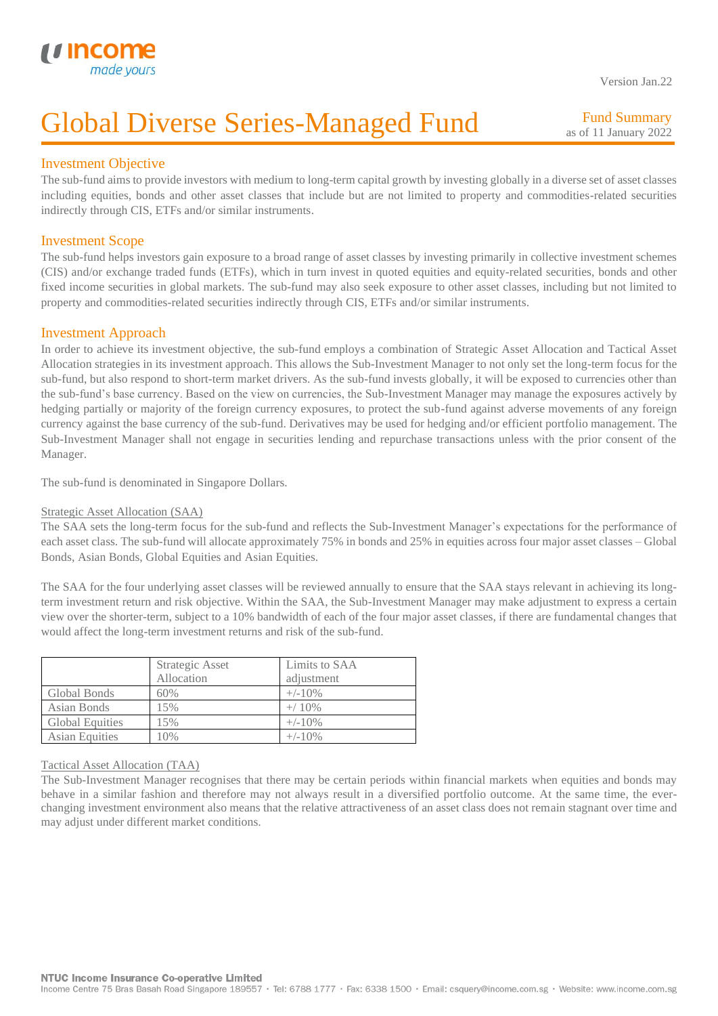

Version Jan.22

# Global Diverse Series-Managed Fund

Fund Summary as of 11 January 2022

# Investment Objective

I

The sub-fund aims to provide investors with medium to long-term capital growth by investing globally in a diverse set of asset classes including equities, bonds and other asset classes that include but are not limited to property and commodities-related securities indirectly through CIS, ETFs and/or similar instruments.

# Investment Scope

The sub-fund helps investors gain exposure to a broad range of asset classes by investing primarily in collective investment schemes (CIS) and/or exchange traded funds (ETFs), which in turn invest in quoted equities and equity-related securities, bonds and other fixed income securities in global markets. The sub-fund may also seek exposure to other asset classes, including but not limited to property and commodities-related securities indirectly through CIS, ETFs and/or similar instruments.

# Investment Approach

In order to achieve its investment objective, the sub-fund employs a combination of Strategic Asset Allocation and Tactical Asset Allocation strategies in its investment approach. This allows the Sub-Investment Manager to not only set the long-term focus for the sub-fund, but also respond to short-term market drivers. As the sub-fund invests globally, it will be exposed to currencies other than the sub-fund's base currency. Based on the view on currencies, the Sub-Investment Manager may manage the exposures actively by hedging partially or majority of the foreign currency exposures, to protect the sub-fund against adverse movements of any foreign currency against the base currency of the sub-fund. Derivatives may be used for hedging and/or efficient portfolio management. The Sub-Investment Manager shall not engage in securities lending and repurchase transactions unless with the prior consent of the Manager.

The sub-fund is denominated in Singapore Dollars.

### Strategic Asset Allocation (SAA)

The SAA sets the long-term focus for the sub-fund and reflects the Sub-Investment Manager's expectations for the performance of each asset class. The sub-fund will allocate approximately 75% in bonds and 25% in equities across four major asset classes – Global Bonds, Asian Bonds, Global Equities and Asian Equities.

The SAA for the four underlying asset classes will be reviewed annually to ensure that the SAA stays relevant in achieving its longterm investment return and risk objective. Within the SAA, the Sub-Investment Manager may make adjustment to express a certain view over the shorter-term, subject to a 10% bandwidth of each of the four major asset classes, if there are fundamental changes that would affect the long-term investment returns and risk of the sub-fund.

|                        | Strategic Asset<br>Allocation | Limits to SAA<br>adjustment |
|------------------------|-------------------------------|-----------------------------|
| Global Bonds           | 60%                           | $+/-10\%$                   |
| Asian Bonds            | 15%                           | $+/ 10\%$                   |
| <b>Global Equities</b> | 15%                           | $+/-10\%$                   |
| <b>Asian Equities</b>  | $0\%$                         | $+/-10\%$                   |

#### Tactical Asset Allocation (TAA)

The Sub-Investment Manager recognises that there may be certain periods within financial markets when equities and bonds may behave in a similar fashion and therefore may not always result in a diversified portfolio outcome. At the same time, the everchanging investment environment also means that the relative attractiveness of an asset class does not remain stagnant over time and may adjust under different market conditions.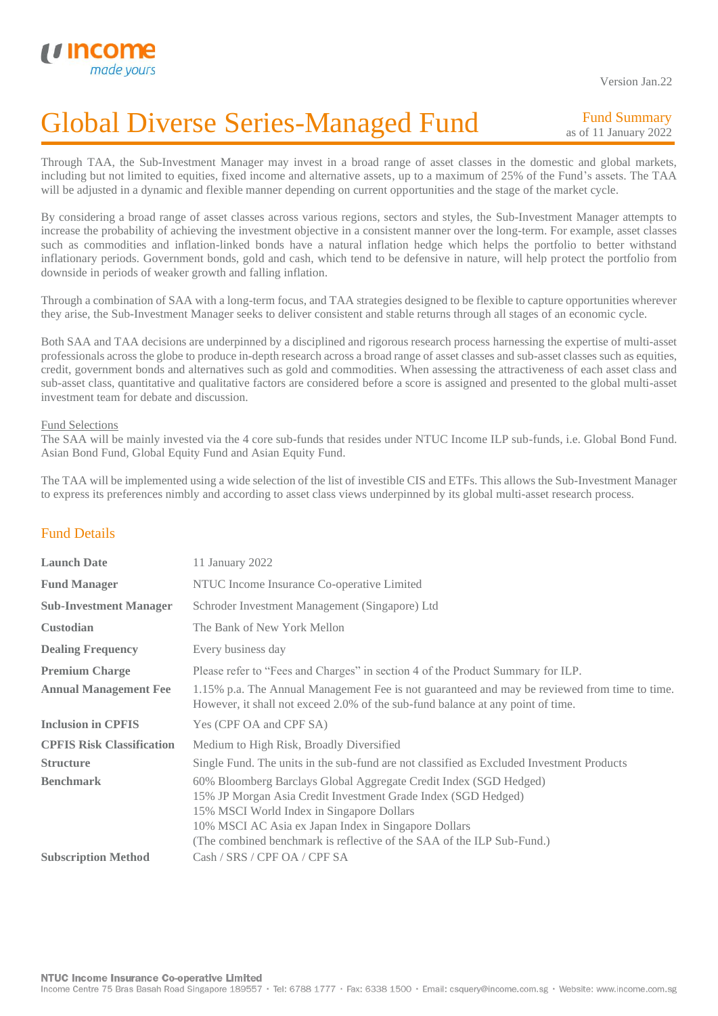

I

Version Jan.22

# Global Diverse Series-Managed Fund

Fund Summary as of 11 January 2022

Through TAA, the Sub-Investment Manager may invest in a broad range of asset classes in the domestic and global markets, including but not limited to equities, fixed income and alternative assets, up to a maximum of 25% of the Fund's assets. The TAA will be adjusted in a dynamic and flexible manner depending on current opportunities and the stage of the market cycle.

By considering a broad range of asset classes across various regions, sectors and styles, the Sub-Investment Manager attempts to increase the probability of achieving the investment objective in a consistent manner over the long-term. For example, asset classes such as commodities and inflation-linked bonds have a natural inflation hedge which helps the portfolio to better withstand inflationary periods. Government bonds, gold and cash, which tend to be defensive in nature, will help protect the portfolio from downside in periods of weaker growth and falling inflation.

Through a combination of SAA with a long-term focus, and TAA strategies designed to be flexible to capture opportunities wherever they arise, the Sub-Investment Manager seeks to deliver consistent and stable returns through all stages of an economic cycle.

Both SAA and TAA decisions are underpinned by a disciplined and rigorous research process harnessing the expertise of multi-asset professionals across the globe to produce in-depth research across a broad range of asset classes and sub-asset classes such as equities, credit, government bonds and alternatives such as gold and commodities. When assessing the attractiveness of each asset class and sub-asset class, quantitative and qualitative factors are considered before a score is assigned and presented to the global multi-asset investment team for debate and discussion.

#### Fund Selections

The SAA will be mainly invested via the 4 core sub-funds that resides under NTUC Income ILP sub-funds, i.e. Global Bond Fund. Asian Bond Fund, Global Equity Fund and Asian Equity Fund.

The TAA will be implemented using a wide selection of the list of investible CIS and ETFs. This allows the Sub-Investment Manager to express its preferences nimbly and according to asset class views underpinned by its global multi-asset research process.

# Fund Details

| <b>Launch Date</b>               | 11 January 2022                                                                                                                                                                                                                                                                                                   |
|----------------------------------|-------------------------------------------------------------------------------------------------------------------------------------------------------------------------------------------------------------------------------------------------------------------------------------------------------------------|
| <b>Fund Manager</b>              | NTUC Income Insurance Co-operative Limited                                                                                                                                                                                                                                                                        |
| <b>Sub-Investment Manager</b>    | Schroder Investment Management (Singapore) Ltd                                                                                                                                                                                                                                                                    |
| <b>Custodian</b>                 | The Bank of New York Mellon                                                                                                                                                                                                                                                                                       |
| <b>Dealing Frequency</b>         | Every business day                                                                                                                                                                                                                                                                                                |
| <b>Premium Charge</b>            | Please refer to "Fees and Charges" in section 4 of the Product Summary for ILP.                                                                                                                                                                                                                                   |
| <b>Annual Management Fee</b>     | 1.15% p.a. The Annual Management Fee is not guaranteed and may be reviewed from time to time.<br>However, it shall not exceed 2.0% of the sub-fund balance at any point of time.                                                                                                                                  |
| <b>Inclusion in CPFIS</b>        | Yes (CPF OA and CPF SA)                                                                                                                                                                                                                                                                                           |
| <b>CPFIS Risk Classification</b> | Medium to High Risk, Broadly Diversified                                                                                                                                                                                                                                                                          |
| <b>Structure</b>                 | Single Fund. The units in the sub-fund are not classified as Excluded Investment Products                                                                                                                                                                                                                         |
| <b>Benchmark</b>                 | 60% Bloomberg Barclays Global Aggregate Credit Index (SGD Hedged)<br>15% JP Morgan Asia Credit Investment Grade Index (SGD Hedged)<br>15% MSCI World Index in Singapore Dollars<br>10% MSCI AC Asia ex Japan Index in Singapore Dollars<br>(The combined benchmark is reflective of the SAA of the ILP Sub-Fund.) |
| <b>Subscription Method</b>       | Cash / SRS / CPF OA / CPF SA                                                                                                                                                                                                                                                                                      |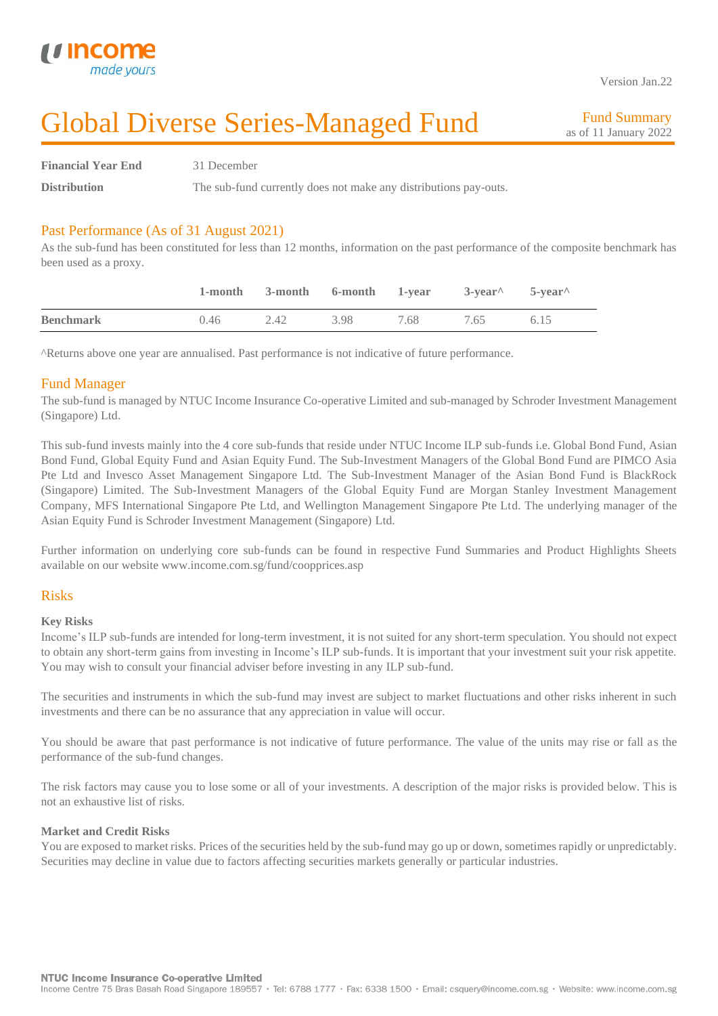

I

Version Jan.22

# Global Diverse Series-Managed Fund

Fund Summary as of 11 January 2022

**Financial Year End** 31 December **Distribution** The sub-fund currently does not make any distributions pay-outs.

# Past Performance (As of 31 August 2021)

As the sub-fund has been constituted for less than 12 months, information on the past performance of the composite benchmark has been used as a proxy.

|                  |      | 1-month 3-month 6-month 1-year 3-year 5-year |      |      |      |      |
|------------------|------|----------------------------------------------|------|------|------|------|
| <b>Benchmark</b> | 0.46 | 2.42                                         | 3.98 | 7.68 | 7.65 | 6.15 |

^Returns above one year are annualised. Past performance is not indicative of future performance.

### Fund Manager

The sub-fund is managed by NTUC Income Insurance Co-operative Limited and sub-managed by Schroder Investment Management (Singapore) Ltd.

This sub-fund invests mainly into the 4 core sub-funds that reside under NTUC Income ILP sub-funds i.e. Global Bond Fund, Asian Bond Fund, Global Equity Fund and Asian Equity Fund. The Sub-Investment Managers of the Global Bond Fund are PIMCO Asia Pte Ltd and Invesco Asset Management Singapore Ltd. The Sub-Investment Manager of the Asian Bond Fund is BlackRock (Singapore) Limited. The Sub-Investment Managers of the Global Equity Fund are Morgan Stanley Investment Management Company, MFS International Singapore Pte Ltd, and Wellington Management Singapore Pte Ltd. The underlying manager of the Asian Equity Fund is Schroder Investment Management (Singapore) Ltd.

Further information on underlying core sub-funds can be found in respective Fund Summaries and Product Highlights Sheets available on our website www.income.com.sg/fund/coopprices.asp

### Risks

#### **Key Risks**

Income's ILP sub-funds are intended for long-term investment, it is not suited for any short-term speculation. You should not expect to obtain any short-term gains from investing in Income's ILP sub-funds. It is important that your investment suit your risk appetite. You may wish to consult your financial adviser before investing in any ILP sub-fund.

The securities and instruments in which the sub-fund may invest are subject to market fluctuations and other risks inherent in such investments and there can be no assurance that any appreciation in value will occur.

You should be aware that past performance is not indicative of future performance. The value of the units may rise or fall as the performance of the sub-fund changes.

The risk factors may cause you to lose some or all of your investments. A description of the major risks is provided below. This is not an exhaustive list of risks.

#### **Market and Credit Risks**

You are exposed to market risks. Prices of the securities held by the sub-fund may go up or down, sometimes rapidly or unpredictably. Securities may decline in value due to factors affecting securities markets generally or particular industries.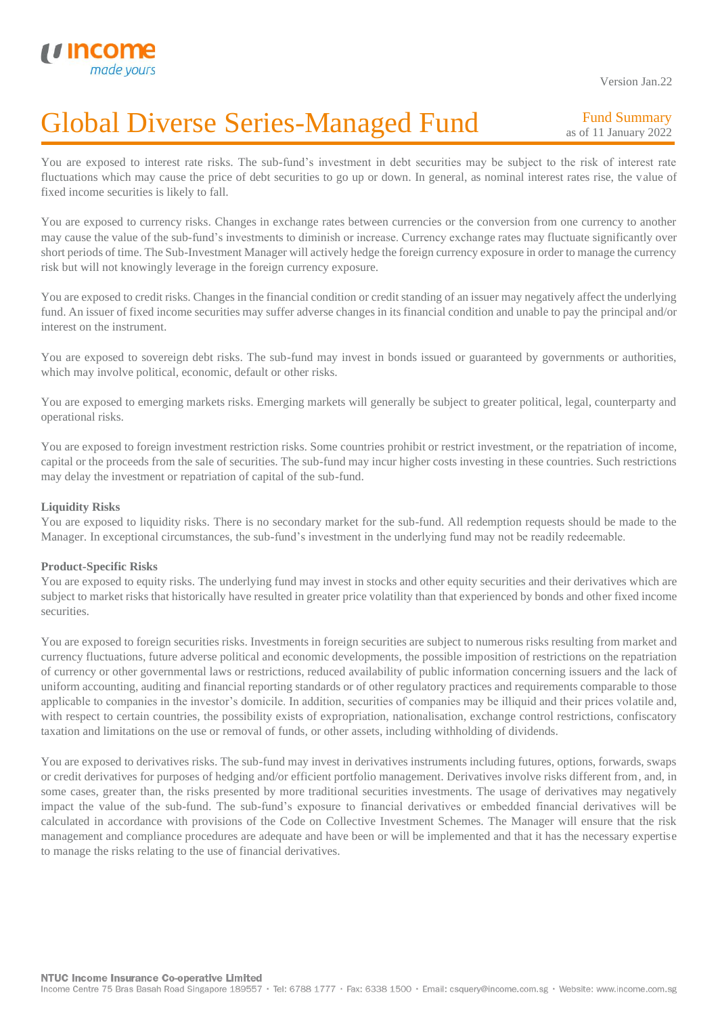Version Jan.22

# Global Diverse Series-Managed Fund I

Fund Summary as of 11 January 2022

You are exposed to interest rate risks. The sub-fund's investment in debt securities may be subject to the risk of interest rate fluctuations which may cause the price of debt securities to go up or down. In general, as nominal interest rates rise, the value of fixed income securities is likely to fall.

You are exposed to currency risks. Changes in exchange rates between currencies or the conversion from one currency to another may cause the value of the sub-fund's investments to diminish or increase. Currency exchange rates may fluctuate significantly over short periods of time. The Sub-Investment Manager will actively hedge the foreign currency exposure in order to manage the currency risk but will not knowingly leverage in the foreign currency exposure.

You are exposed to credit risks. Changes in the financial condition or credit standing of an issuer may negatively affect the underlying fund. An issuer of fixed income securities may suffer adverse changes in its financial condition and unable to pay the principal and/or interest on the instrument.

You are exposed to sovereign debt risks. The sub-fund may invest in bonds issued or guaranteed by governments or authorities, which may involve political, economic, default or other risks.

You are exposed to emerging markets risks. Emerging markets will generally be subject to greater political, legal, counterparty and operational risks.

You are exposed to foreign investment restriction risks. Some countries prohibit or restrict investment, or the repatriation of income, capital or the proceeds from the sale of securities. The sub-fund may incur higher costs investing in these countries. Such restrictions may delay the investment or repatriation of capital of the sub-fund.

#### **Liquidity Risks**

You are exposed to liquidity risks. There is no secondary market for the sub-fund. All redemption requests should be made to the Manager. In exceptional circumstances, the sub-fund's investment in the underlying fund may not be readily redeemable.

#### **Product-Specific Risks**

You are exposed to equity risks. The underlying fund may invest in stocks and other equity securities and their derivatives which are subject to market risks that historically have resulted in greater price volatility than that experienced by bonds and other fixed income securities.

You are exposed to foreign securities risks. Investments in foreign securities are subject to numerous risks resulting from market and currency fluctuations, future adverse political and economic developments, the possible imposition of restrictions on the repatriation of currency or other governmental laws or restrictions, reduced availability of public information concerning issuers and the lack of uniform accounting, auditing and financial reporting standards or of other regulatory practices and requirements comparable to those applicable to companies in the investor's domicile. In addition, securities of companies may be illiquid and their prices volatile and, with respect to certain countries, the possibility exists of expropriation, nationalisation, exchange control restrictions, confiscatory taxation and limitations on the use or removal of funds, or other assets, including withholding of dividends.

You are exposed to derivatives risks. The sub-fund may invest in derivatives instruments including futures, options, forwards, swaps or credit derivatives for purposes of hedging and/or efficient portfolio management. Derivatives involve risks different from, and, in some cases, greater than, the risks presented by more traditional securities investments. The usage of derivatives may negatively impact the value of the sub-fund. The sub-fund's exposure to financial derivatives or embedded financial derivatives will be calculated in accordance with provisions of the Code on Collective Investment Schemes. The Manager will ensure that the risk management and compliance procedures are adequate and have been or will be implemented and that it has the necessary expertise to manage the risks relating to the use of financial derivatives.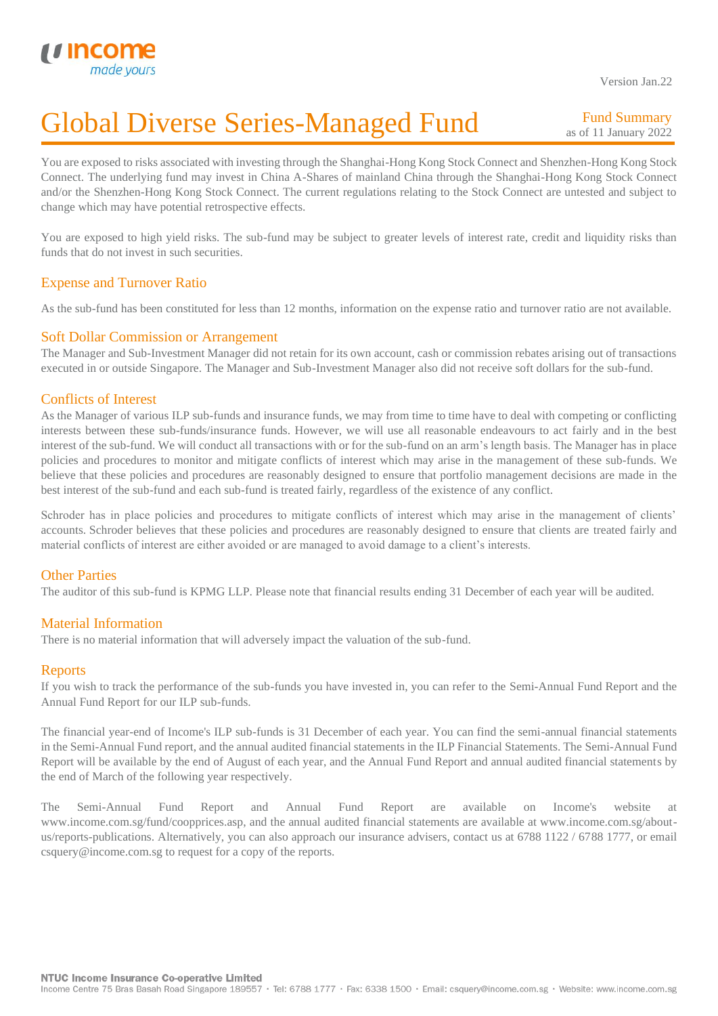

# Global Diverse Series-Managed Fund I

Fund Summary as of 11 January 2022

You are exposed to risks associated with investing through the Shanghai-Hong Kong Stock Connect and Shenzhen-Hong Kong Stock Connect. The underlying fund may invest in China A-Shares of mainland China through the Shanghai-Hong Kong Stock Connect and/or the Shenzhen-Hong Kong Stock Connect. The current regulations relating to the Stock Connect are untested and subject to change which may have potential retrospective effects.

You are exposed to high yield risks. The sub-fund may be subject to greater levels of interest rate, credit and liquidity risks than funds that do not invest in such securities.

# Expense and Turnover Ratio

As the sub-fund has been constituted for less than 12 months, information on the expense ratio and turnover ratio are not available.

### Soft Dollar Commission or Arrangement

The Manager and Sub-Investment Manager did not retain for its own account, cash or commission rebates arising out of transactions executed in or outside Singapore. The Manager and Sub-Investment Manager also did not receive soft dollars for the sub-fund.

# Conflicts of Interest

As the Manager of various ILP sub-funds and insurance funds, we may from time to time have to deal with competing or conflicting interests between these sub-funds/insurance funds. However, we will use all reasonable endeavours to act fairly and in the best interest of the sub-fund. We will conduct all transactions with or for the sub-fund on an arm's length basis. The Manager has in place policies and procedures to monitor and mitigate conflicts of interest which may arise in the management of these sub-funds. We believe that these policies and procedures are reasonably designed to ensure that portfolio management decisions are made in the best interest of the sub-fund and each sub-fund is treated fairly, regardless of the existence of any conflict.

Schroder has in place policies and procedures to mitigate conflicts of interest which may arise in the management of clients' accounts. Schroder believes that these policies and procedures are reasonably designed to ensure that clients are treated fairly and material conflicts of interest are either avoided or are managed to avoid damage to a client's interests.

# Other Parties

The auditor of this sub-fund is KPMG LLP. Please note that financial results ending 31 December of each year will be audited.

# Material Information

There is no material information that will adversely impact the valuation of the sub-fund.

# **Reports**

If you wish to track the performance of the sub-funds you have invested in, you can refer to the Semi-Annual Fund Report and the Annual Fund Report for our ILP sub-funds.

The financial year-end of Income's ILP sub-funds is 31 December of each year. You can find the semi-annual financial statements in the Semi-Annual Fund report, and the annual audited financial statements in the ILP Financial Statements. The Semi-Annual Fund Report will be available by the end of August of each year, and the Annual Fund Report and annual audited financial statements by the end of March of the following year respectively.

The Semi-Annual Fund Report and Annual Fund Report are available on Income's website at www.income.com.sg/fund/coopprices.asp, and the annual audited financial statements are available at www.income.com.sg/aboutus/reports-publications. Alternatively, you can also approach our insurance advisers, contact us at 6788 1122 / 6788 1777, or email csquery@income.com.sg to request for a copy of the reports.